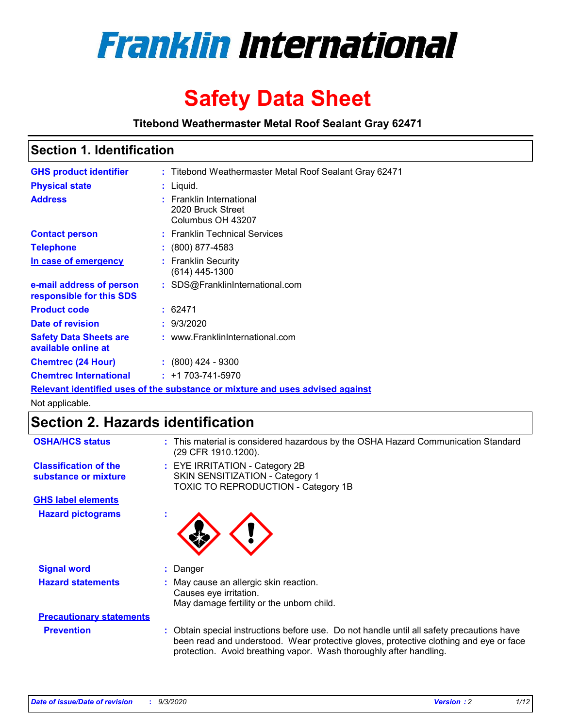

# **Safety Data Sheet**

**Titebond Weathermaster Metal Roof Sealant Gray 62471**

## **Section 1. Identification**

| <b>GHS product identifier</b>                                                 |  | : Titebond Weathermaster Metal Roof Sealant Gray 62471             |  |  |
|-------------------------------------------------------------------------------|--|--------------------------------------------------------------------|--|--|
| <b>Physical state</b>                                                         |  | : Liquid.                                                          |  |  |
| <b>Address</b>                                                                |  | : Franklin International<br>2020 Bruck Street<br>Columbus OH 43207 |  |  |
| <b>Contact person</b>                                                         |  | : Franklin Technical Services                                      |  |  |
| <b>Telephone</b>                                                              |  | $: (800) 877-4583$                                                 |  |  |
| In case of emergency                                                          |  | : Franklin Security<br>(614) 445-1300                              |  |  |
| e-mail address of person<br>responsible for this SDS                          |  | : SDS@FranklinInternational.com                                    |  |  |
| <b>Product code</b>                                                           |  | : 62471                                                            |  |  |
| Date of revision                                                              |  | : 9/3/2020                                                         |  |  |
| <b>Safety Data Sheets are</b><br>available online at                          |  | : www.FranklinInternational.com                                    |  |  |
| <b>Chemtrec (24 Hour)</b>                                                     |  | $: (800)$ 424 - 9300                                               |  |  |
| <b>Chemtrec International</b>                                                 |  | $: +1703 - 741 - 5970$                                             |  |  |
| Relevant identified uses of the substance or mixture and uses advised against |  |                                                                    |  |  |

Not applicable.

## **Section 2. Hazards identification**

| <b>OSHA/HCS status</b>                               |    | : This material is considered hazardous by the OSHA Hazard Communication Standard<br>(29 CFR 1910.1200).                                                                                                                                                 |
|------------------------------------------------------|----|----------------------------------------------------------------------------------------------------------------------------------------------------------------------------------------------------------------------------------------------------------|
| <b>Classification of the</b><br>substance or mixture |    | : EYE IRRITATION - Category 2B<br>SKIN SENSITIZATION - Category 1<br>TOXIC TO REPRODUCTION - Category 1B                                                                                                                                                 |
| <b>GHS label elements</b>                            |    |                                                                                                                                                                                                                                                          |
| <b>Hazard pictograms</b>                             | ×. |                                                                                                                                                                                                                                                          |
| <b>Signal word</b>                                   | ÷. | Danger                                                                                                                                                                                                                                                   |
| <b>Hazard statements</b>                             |    | May cause an allergic skin reaction.<br>Causes eye irritation.<br>May damage fertility or the unborn child.                                                                                                                                              |
| <b>Precautionary statements</b>                      |    |                                                                                                                                                                                                                                                          |
| <b>Prevention</b>                                    |    | : Obtain special instructions before use. Do not handle until all safety precautions have<br>been read and understood. Wear protective gloves, protective clothing and eye or face<br>protection. Avoid breathing vapor. Wash thoroughly after handling. |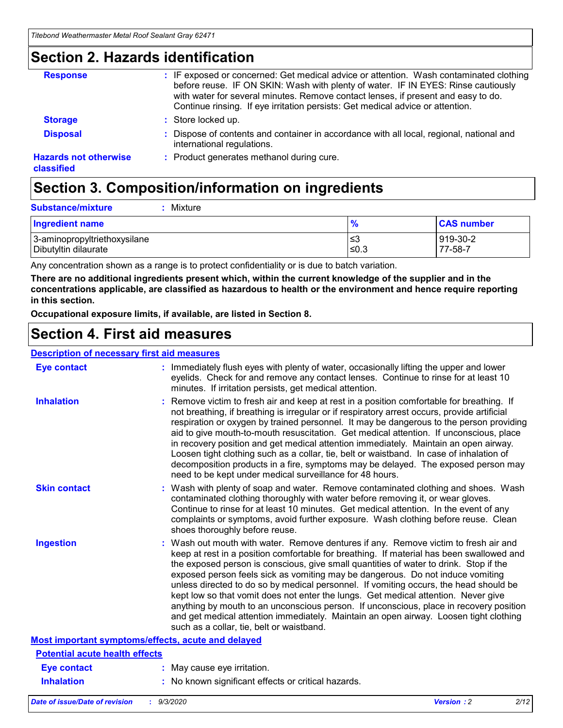## **Section 2. Hazards identification**

| <b>Response</b>                            | : IF exposed or concerned: Get medical advice or attention. Wash contaminated clothing<br>before reuse. IF ON SKIN: Wash with plenty of water. IF IN EYES: Rinse cautiously<br>with water for several minutes. Remove contact lenses, if present and easy to do.<br>Continue rinsing. If eye irritation persists: Get medical advice or attention. |
|--------------------------------------------|----------------------------------------------------------------------------------------------------------------------------------------------------------------------------------------------------------------------------------------------------------------------------------------------------------------------------------------------------|
| <b>Storage</b>                             | : Store locked up.                                                                                                                                                                                                                                                                                                                                 |
| <b>Disposal</b>                            | : Dispose of contents and container in accordance with all local, regional, national and<br>international regulations.                                                                                                                                                                                                                             |
| <b>Hazards not otherwise</b><br>classified | : Product generates methanol during cure.                                                                                                                                                                                                                                                                                                          |

## **Section 3. Composition/information on ingredients**

| <b>Substance/mixture</b> | Mixture |
|--------------------------|---------|
|                          |         |

| <b>Ingredient name</b>       | $\frac{9}{6}$ | <b>CAS number</b> |
|------------------------------|---------------|-------------------|
| 3-aminopropyltriethoxysilane | ՝≤3           | 919-30-2          |
| Dibutyltin dilaurate         | ∣≤0.3         | 77-58-7           |

Any concentration shown as a range is to protect confidentiality or is due to batch variation.

**There are no additional ingredients present which, within the current knowledge of the supplier and in the concentrations applicable, are classified as hazardous to health or the environment and hence require reporting in this section.**

**Occupational exposure limits, if available, are listed in Section 8.**

## **Section 4. First aid measures**

| <b>Description of necessary first aid measures</b> |                                                                                                                                                                                                                                                                                                                                                                                                                                                                                                                                                                                                                                                                                                                                                                           |
|----------------------------------------------------|---------------------------------------------------------------------------------------------------------------------------------------------------------------------------------------------------------------------------------------------------------------------------------------------------------------------------------------------------------------------------------------------------------------------------------------------------------------------------------------------------------------------------------------------------------------------------------------------------------------------------------------------------------------------------------------------------------------------------------------------------------------------------|
| <b>Eye contact</b>                                 | : Immediately flush eyes with plenty of water, occasionally lifting the upper and lower<br>eyelids. Check for and remove any contact lenses. Continue to rinse for at least 10<br>minutes. If irritation persists, get medical attention.                                                                                                                                                                                                                                                                                                                                                                                                                                                                                                                                 |
| <b>Inhalation</b>                                  | : Remove victim to fresh air and keep at rest in a position comfortable for breathing. If<br>not breathing, if breathing is irregular or if respiratory arrest occurs, provide artificial<br>respiration or oxygen by trained personnel. It may be dangerous to the person providing<br>aid to give mouth-to-mouth resuscitation. Get medical attention. If unconscious, place<br>in recovery position and get medical attention immediately. Maintain an open airway.<br>Loosen tight clothing such as a collar, tie, belt or waistband. In case of inhalation of<br>decomposition products in a fire, symptoms may be delayed. The exposed person may<br>need to be kept under medical surveillance for 48 hours.                                                       |
| <b>Skin contact</b>                                | : Wash with plenty of soap and water. Remove contaminated clothing and shoes. Wash<br>contaminated clothing thoroughly with water before removing it, or wear gloves.<br>Continue to rinse for at least 10 minutes. Get medical attention. In the event of any<br>complaints or symptoms, avoid further exposure. Wash clothing before reuse. Clean<br>shoes thoroughly before reuse.                                                                                                                                                                                                                                                                                                                                                                                     |
| <b>Ingestion</b>                                   | : Wash out mouth with water. Remove dentures if any. Remove victim to fresh air and<br>keep at rest in a position comfortable for breathing. If material has been swallowed and<br>the exposed person is conscious, give small quantities of water to drink. Stop if the<br>exposed person feels sick as vomiting may be dangerous. Do not induce vomiting<br>unless directed to do so by medical personnel. If vomiting occurs, the head should be<br>kept low so that vomit does not enter the lungs. Get medical attention. Never give<br>anything by mouth to an unconscious person. If unconscious, place in recovery position<br>and get medical attention immediately. Maintain an open airway. Loosen tight clothing<br>such as a collar, tie, belt or waistband. |
| Most important symptoms/effects, acute and delayed |                                                                                                                                                                                                                                                                                                                                                                                                                                                                                                                                                                                                                                                                                                                                                                           |
| <b>Potential acute health effects</b>              |                                                                                                                                                                                                                                                                                                                                                                                                                                                                                                                                                                                                                                                                                                                                                                           |
| Eye contact                                        | : May cause eye irritation.                                                                                                                                                                                                                                                                                                                                                                                                                                                                                                                                                                                                                                                                                                                                               |
| <b>Inhalation</b>                                  | : No known significant effects or critical hazards.                                                                                                                                                                                                                                                                                                                                                                                                                                                                                                                                                                                                                                                                                                                       |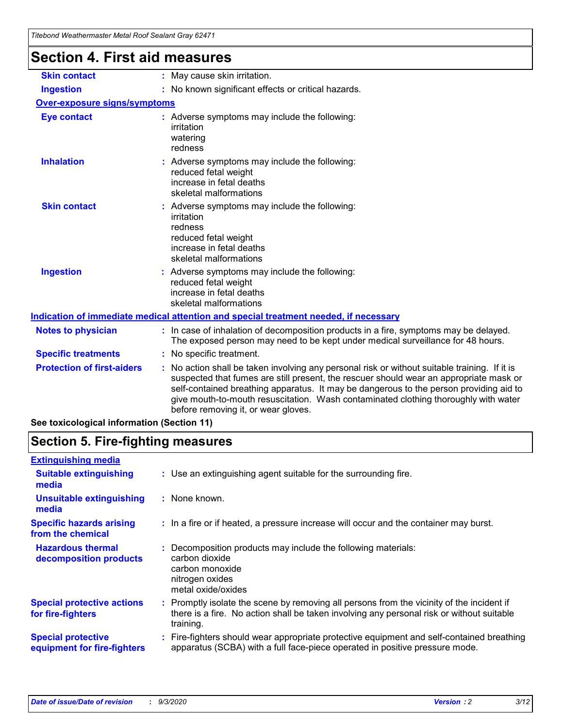| <u>Hiebona Wealhenhasier Melar Koor Sealahi Gray 0247 T</u><br><b>Section 4. First aid measures</b> |                                                                                                                                                                                                                                                                                                                                                                                                                 |
|-----------------------------------------------------------------------------------------------------|-----------------------------------------------------------------------------------------------------------------------------------------------------------------------------------------------------------------------------------------------------------------------------------------------------------------------------------------------------------------------------------------------------------------|
| <b>Skin contact</b>                                                                                 | : May cause skin irritation.                                                                                                                                                                                                                                                                                                                                                                                    |
| <b>Ingestion</b>                                                                                    | : No known significant effects or critical hazards.                                                                                                                                                                                                                                                                                                                                                             |
| <b>Over-exposure signs/symptoms</b>                                                                 |                                                                                                                                                                                                                                                                                                                                                                                                                 |
| <b>Eye contact</b>                                                                                  | : Adverse symptoms may include the following:<br>irritation<br>watering<br>redness                                                                                                                                                                                                                                                                                                                              |
| <b>Inhalation</b>                                                                                   | : Adverse symptoms may include the following:<br>reduced fetal weight<br>increase in fetal deaths<br>skeletal malformations                                                                                                                                                                                                                                                                                     |
| <b>Skin contact</b>                                                                                 | : Adverse symptoms may include the following:<br>irritation<br>redness<br>reduced fetal weight<br>increase in fetal deaths<br>skeletal malformations                                                                                                                                                                                                                                                            |
| <b>Ingestion</b>                                                                                    | : Adverse symptoms may include the following:<br>reduced fetal weight<br>increase in fetal deaths<br>skeletal malformations                                                                                                                                                                                                                                                                                     |
|                                                                                                     | Indication of immediate medical attention and special treatment needed, if necessary                                                                                                                                                                                                                                                                                                                            |
| <b>Notes to physician</b>                                                                           | : In case of inhalation of decomposition products in a fire, symptoms may be delayed.<br>The exposed person may need to be kept under medical surveillance for 48 hours.                                                                                                                                                                                                                                        |
| <b>Specific treatments</b>                                                                          | : No specific treatment.                                                                                                                                                                                                                                                                                                                                                                                        |
| <b>Protection of first-aiders</b>                                                                   | : No action shall be taken involving any personal risk or without suitable training. If it is<br>suspected that fumes are still present, the rescuer should wear an appropriate mask or<br>self-contained breathing apparatus. It may be dangerous to the person providing aid to<br>give mouth-to-mouth resuscitation. Wash contaminated clothing thoroughly with water<br>before removing it, or wear gloves. |

**See toxicological information (Section 11)**

## **Section 5. Fire-fighting measures**

| <b>Extinguishing media</b>                               |                                                                                                                                                                                                     |
|----------------------------------------------------------|-----------------------------------------------------------------------------------------------------------------------------------------------------------------------------------------------------|
| <b>Suitable extinguishing</b><br>media                   | : Use an extinguishing agent suitable for the surrounding fire.                                                                                                                                     |
| <b>Unsuitable extinguishing</b><br>media                 | : None known.                                                                                                                                                                                       |
| <b>Specific hazards arising</b><br>from the chemical     | : In a fire or if heated, a pressure increase will occur and the container may burst.                                                                                                               |
| <b>Hazardous thermal</b><br>decomposition products       | : Decomposition products may include the following materials:<br>carbon dioxide<br>carbon monoxide<br>nitrogen oxides<br>metal oxide/oxides                                                         |
| <b>Special protective actions</b><br>for fire-fighters   | : Promptly isolate the scene by removing all persons from the vicinity of the incident if<br>there is a fire. No action shall be taken involving any personal risk or without suitable<br>training. |
| <b>Special protective</b><br>equipment for fire-fighters | Fire-fighters should wear appropriate protective equipment and self-contained breathing<br>apparatus (SCBA) with a full face-piece operated in positive pressure mode.                              |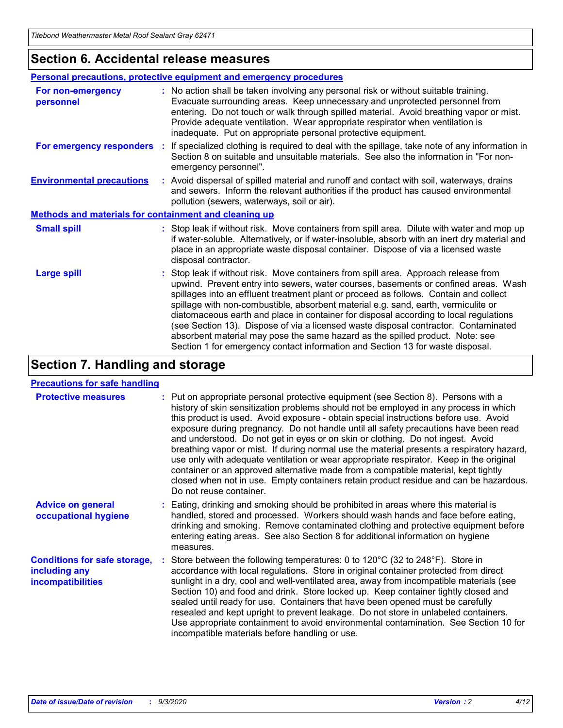## **Section 6. Accidental release measures**

|                                                              | Personal precautions, protective equipment and emergency procedures                                                                                                                                                                                                                                                                                                                                                                                                                                                                                                                                                                                                                                          |  |  |  |
|--------------------------------------------------------------|--------------------------------------------------------------------------------------------------------------------------------------------------------------------------------------------------------------------------------------------------------------------------------------------------------------------------------------------------------------------------------------------------------------------------------------------------------------------------------------------------------------------------------------------------------------------------------------------------------------------------------------------------------------------------------------------------------------|--|--|--|
| For non-emergency<br>personnel                               | : No action shall be taken involving any personal risk or without suitable training.<br>Evacuate surrounding areas. Keep unnecessary and unprotected personnel from<br>entering. Do not touch or walk through spilled material. Avoid breathing vapor or mist.<br>Provide adequate ventilation. Wear appropriate respirator when ventilation is<br>inadequate. Put on appropriate personal protective equipment.                                                                                                                                                                                                                                                                                             |  |  |  |
| For emergency responders                                     | : If specialized clothing is required to deal with the spillage, take note of any information in<br>Section 8 on suitable and unsuitable materials. See also the information in "For non-<br>emergency personnel".                                                                                                                                                                                                                                                                                                                                                                                                                                                                                           |  |  |  |
| <b>Environmental precautions</b>                             | : Avoid dispersal of spilled material and runoff and contact with soil, waterways, drains<br>and sewers. Inform the relevant authorities if the product has caused environmental<br>pollution (sewers, waterways, soil or air).                                                                                                                                                                                                                                                                                                                                                                                                                                                                              |  |  |  |
| <b>Methods and materials for containment and cleaning up</b> |                                                                                                                                                                                                                                                                                                                                                                                                                                                                                                                                                                                                                                                                                                              |  |  |  |
| <b>Small spill</b>                                           | : Stop leak if without risk. Move containers from spill area. Dilute with water and mop up<br>if water-soluble. Alternatively, or if water-insoluble, absorb with an inert dry material and<br>place in an appropriate waste disposal container. Dispose of via a licensed waste<br>disposal contractor.                                                                                                                                                                                                                                                                                                                                                                                                     |  |  |  |
| <b>Large spill</b>                                           | : Stop leak if without risk. Move containers from spill area. Approach release from<br>upwind. Prevent entry into sewers, water courses, basements or confined areas. Wash<br>spillages into an effluent treatment plant or proceed as follows. Contain and collect<br>spillage with non-combustible, absorbent material e.g. sand, earth, vermiculite or<br>diatomaceous earth and place in container for disposal according to local regulations<br>(see Section 13). Dispose of via a licensed waste disposal contractor. Contaminated<br>absorbent material may pose the same hazard as the spilled product. Note: see<br>Section 1 for emergency contact information and Section 13 for waste disposal. |  |  |  |

## **Section 7. Handling and storage**

### **Precautions for safe handling**

| <b>Protective measures</b>                                                       | : Put on appropriate personal protective equipment (see Section 8). Persons with a<br>history of skin sensitization problems should not be employed in any process in which<br>this product is used. Avoid exposure - obtain special instructions before use. Avoid<br>exposure during pregnancy. Do not handle until all safety precautions have been read<br>and understood. Do not get in eyes or on skin or clothing. Do not ingest. Avoid<br>breathing vapor or mist. If during normal use the material presents a respiratory hazard,<br>use only with adequate ventilation or wear appropriate respirator. Keep in the original<br>container or an approved alternative made from a compatible material, kept tightly<br>closed when not in use. Empty containers retain product residue and can be hazardous.<br>Do not reuse container. |
|----------------------------------------------------------------------------------|--------------------------------------------------------------------------------------------------------------------------------------------------------------------------------------------------------------------------------------------------------------------------------------------------------------------------------------------------------------------------------------------------------------------------------------------------------------------------------------------------------------------------------------------------------------------------------------------------------------------------------------------------------------------------------------------------------------------------------------------------------------------------------------------------------------------------------------------------|
| <b>Advice on general</b><br>occupational hygiene                                 | : Eating, drinking and smoking should be prohibited in areas where this material is<br>handled, stored and processed. Workers should wash hands and face before eating,<br>drinking and smoking. Remove contaminated clothing and protective equipment before<br>entering eating areas. See also Section 8 for additional information on hygiene<br>measures.                                                                                                                                                                                                                                                                                                                                                                                                                                                                                    |
| <b>Conditions for safe storage,</b><br>including any<br><i>incompatibilities</i> | Store between the following temperatures: 0 to $120^{\circ}$ C (32 to $248^{\circ}$ F). Store in<br>accordance with local regulations. Store in original container protected from direct<br>sunlight in a dry, cool and well-ventilated area, away from incompatible materials (see<br>Section 10) and food and drink. Store locked up. Keep container tightly closed and<br>sealed until ready for use. Containers that have been opened must be carefully<br>resealed and kept upright to prevent leakage. Do not store in unlabeled containers.<br>Use appropriate containment to avoid environmental contamination. See Section 10 for<br>incompatible materials before handling or use.                                                                                                                                                     |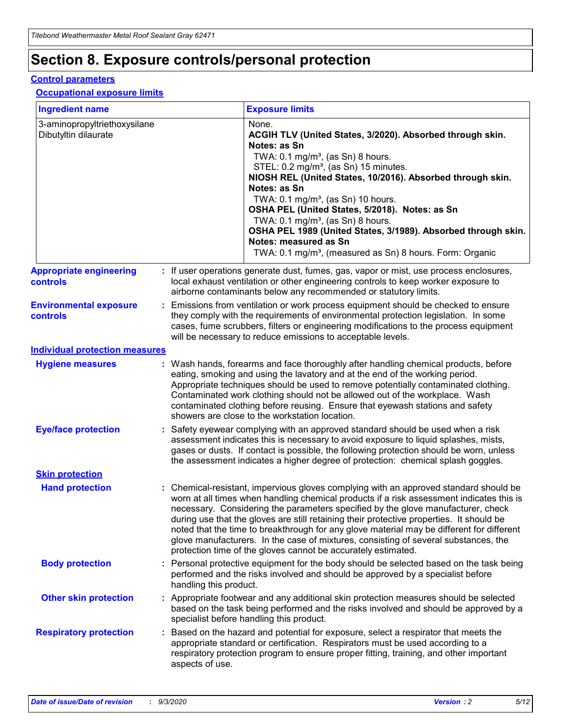## **Section 8. Exposure controls/personal protection**

### **Control parameters**

### **Occupational exposure limits**

| <b>Ingredient name</b>                               |    |                        | <b>Exposure limits</b>                                                                                                                                                                                                                                                                                                                                                                                                                                                                                                                                                                                                 |
|------------------------------------------------------|----|------------------------|------------------------------------------------------------------------------------------------------------------------------------------------------------------------------------------------------------------------------------------------------------------------------------------------------------------------------------------------------------------------------------------------------------------------------------------------------------------------------------------------------------------------------------------------------------------------------------------------------------------------|
| 3-aminopropyltriethoxysilane<br>Dibutyltin dilaurate |    |                        | None.<br>ACGIH TLV (United States, 3/2020). Absorbed through skin.<br>Notes: as Sn<br>TWA: $0.1 \text{ mg/m}^3$ , (as Sn) 8 hours.<br>STEL: 0.2 mg/m <sup>3</sup> , (as Sn) 15 minutes.<br>NIOSH REL (United States, 10/2016). Absorbed through skin.<br>Notes: as Sn<br>TWA: 0.1 mg/m <sup>3</sup> , (as Sn) 10 hours.<br>OSHA PEL (United States, 5/2018). Notes: as Sn<br>TWA: 0.1 mg/m <sup>3</sup> , (as Sn) 8 hours.<br>OSHA PEL 1989 (United States, 3/1989). Absorbed through skin.<br>Notes: measured as Sn<br>TWA: 0.1 mg/m <sup>3</sup> , (measured as Sn) 8 hours. Form: Organic                           |
| <b>Appropriate engineering</b><br>controls           |    |                        | : If user operations generate dust, fumes, gas, vapor or mist, use process enclosures,<br>local exhaust ventilation or other engineering controls to keep worker exposure to<br>airborne contaminants below any recommended or statutory limits.                                                                                                                                                                                                                                                                                                                                                                       |
| <b>Environmental exposure</b><br>controls            |    |                        | Emissions from ventilation or work process equipment should be checked to ensure<br>they comply with the requirements of environmental protection legislation. In some<br>cases, fume scrubbers, filters or engineering modifications to the process equipment<br>will be necessary to reduce emissions to acceptable levels.                                                                                                                                                                                                                                                                                          |
| <b>Individual protection measures</b>                |    |                        |                                                                                                                                                                                                                                                                                                                                                                                                                                                                                                                                                                                                                        |
| <b>Hygiene measures</b>                              |    |                        | : Wash hands, forearms and face thoroughly after handling chemical products, before<br>eating, smoking and using the lavatory and at the end of the working period.<br>Appropriate techniques should be used to remove potentially contaminated clothing.<br>Contaminated work clothing should not be allowed out of the workplace. Wash<br>contaminated clothing before reusing. Ensure that eyewash stations and safety<br>showers are close to the workstation location.                                                                                                                                            |
| <b>Eye/face protection</b>                           |    |                        | Safety eyewear complying with an approved standard should be used when a risk<br>assessment indicates this is necessary to avoid exposure to liquid splashes, mists,<br>gases or dusts. If contact is possible, the following protection should be worn, unless<br>the assessment indicates a higher degree of protection: chemical splash goggles.                                                                                                                                                                                                                                                                    |
| <b>Skin protection</b>                               |    |                        |                                                                                                                                                                                                                                                                                                                                                                                                                                                                                                                                                                                                                        |
| <b>Hand protection</b>                               |    |                        | : Chemical-resistant, impervious gloves complying with an approved standard should be<br>worn at all times when handling chemical products if a risk assessment indicates this is<br>necessary. Considering the parameters specified by the glove manufacturer, check<br>during use that the gloves are still retaining their protective properties. It should be<br>noted that the time to breakthrough for any glove material may be different for different<br>glove manufacturers. In the case of mixtures, consisting of several substances, the<br>protection time of the gloves cannot be accurately estimated. |
| <b>Body protection</b>                               |    | handling this product. | Personal protective equipment for the body should be selected based on the task being<br>performed and the risks involved and should be approved by a specialist before                                                                                                                                                                                                                                                                                                                                                                                                                                                |
| <b>Other skin protection</b>                         |    |                        | : Appropriate footwear and any additional skin protection measures should be selected<br>based on the task being performed and the risks involved and should be approved by a<br>specialist before handling this product.                                                                                                                                                                                                                                                                                                                                                                                              |
| <b>Respiratory protection</b>                        | ÷. | aspects of use.        | Based on the hazard and potential for exposure, select a respirator that meets the<br>appropriate standard or certification. Respirators must be used according to a<br>respiratory protection program to ensure proper fitting, training, and other important                                                                                                                                                                                                                                                                                                                                                         |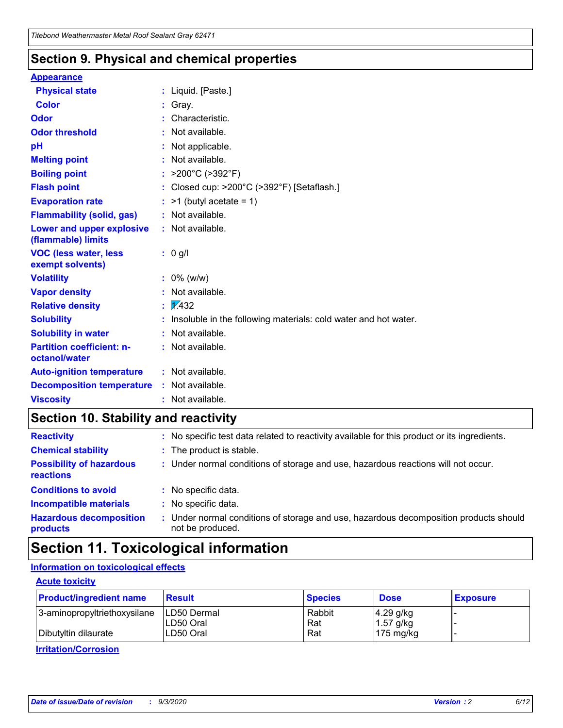## **Section 9. Physical and chemical properties**

### **Appearance**

| <b>Physical state</b>                             | : Liquid. [Paste.]                                              |
|---------------------------------------------------|-----------------------------------------------------------------|
| <b>Color</b>                                      | Gray.                                                           |
| Odor                                              | Characteristic.                                                 |
| <b>Odor threshold</b>                             | Not available.                                                  |
| рH                                                | Not applicable.                                                 |
| <b>Melting point</b>                              | : Not available.                                                |
| <b>Boiling point</b>                              | >200°C (>392°F)                                                 |
| <b>Flash point</b>                                | Closed cup: >200°C (>392°F) [Setaflash.]                        |
| <b>Evaporation rate</b>                           | $:$ >1 (butyl acetate = 1)                                      |
| <b>Flammability (solid, gas)</b>                  | : Not available.                                                |
| Lower and upper explosive<br>(flammable) limits   | : Not available.                                                |
| <b>VOC (less water, less)</b><br>exempt solvents) | : 0 g/l                                                         |
| <b>Volatility</b>                                 | $: 0\%$ (w/w)                                                   |
| <b>Vapor density</b>                              | Not available.                                                  |
| <b>Relative density</b>                           | $\mathbf{1}$ $\mathbf{\sqrt{432}}$                              |
| <b>Solubility</b>                                 | Insoluble in the following materials: cold water and hot water. |
| <b>Solubility in water</b>                        | Not available.                                                  |
| <b>Partition coefficient: n-</b><br>octanol/water | $:$ Not available.                                              |
| <b>Auto-ignition temperature</b>                  | : Not available.                                                |
| <b>Decomposition temperature</b>                  | : Not available.                                                |
| <b>Viscosity</b>                                  | $:$ Not available.                                              |

## **Section 10. Stability and reactivity**

| <b>Reactivity</b>                            |    | : No specific test data related to reactivity available for this product or its ingredients.            |
|----------------------------------------------|----|---------------------------------------------------------------------------------------------------------|
| <b>Chemical stability</b>                    |    | : The product is stable.                                                                                |
| <b>Possibility of hazardous</b><br>reactions |    | : Under normal conditions of storage and use, hazardous reactions will not occur.                       |
| <b>Conditions to avoid</b>                   |    | : No specific data.                                                                                     |
| <b>Incompatible materials</b>                | ٠. | No specific data.                                                                                       |
| <b>Hazardous decomposition</b><br>products   | ÷. | Under normal conditions of storage and use, hazardous decomposition products should<br>not be produced. |

## **Section 11. Toxicological information**

## **Information on toxicological effects**

## **Acute toxicity**

| <b>Product/ingredient name</b> | <b>Result</b>           | <b>Species</b> | <b>Dose</b>                | <b>Exposure</b> |
|--------------------------------|-------------------------|----------------|----------------------------|-----------------|
| 3-aminopropyltriethoxysilane   | <b>ILD50 Dermal</b>     | Rabbit         | 4.29 g/kg                  |                 |
| Dibutyltin dilaurate           | ILD50 Oral<br>LD50 Oral | Rat<br>Rat     | $1.57$ g/kg<br>175 $mg/kg$ |                 |
|                                |                         |                |                            |                 |

**Irritation/Corrosion**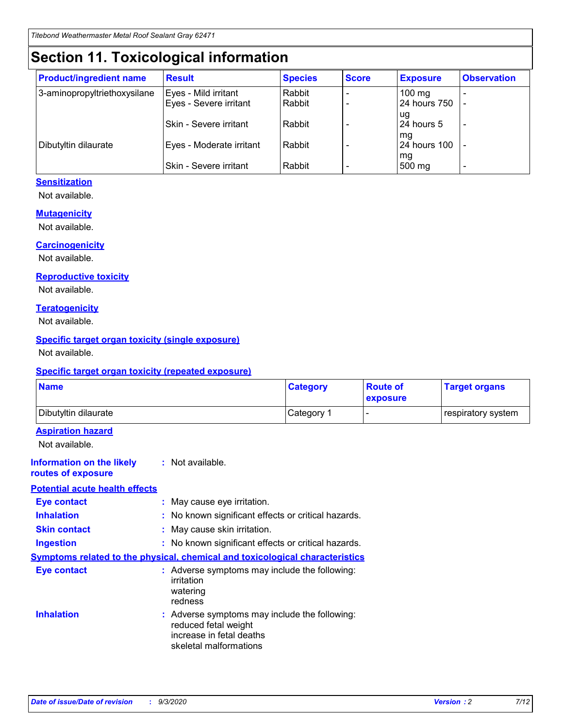## **Section 11. Toxicological information**

| <b>Product/ingredient name</b> | <b>Result</b>                 | <b>Species</b> | <b>Score</b> | <b>Exposure</b>    | <b>Observation</b>       |
|--------------------------------|-------------------------------|----------------|--------------|--------------------|--------------------------|
| 3-aminopropyltriethoxysilane   | Eyes - Mild irritant          | Rabbit         |              | $100 \text{ mg}$   |                          |
|                                | Eyes - Severe irritant        | Rabbit         |              | 24 hours 750       |                          |
|                                |                               |                |              | ug                 |                          |
|                                | <b>Skin - Severe irritant</b> | Rabbit         |              | 24 hours 5         | $\overline{\phantom{0}}$ |
| Dibutyltin dilaurate           | Eyes - Moderate irritant      | Rabbit         |              | mg<br>24 hours 100 |                          |
|                                |                               |                |              | mg                 |                          |
|                                | Skin - Severe irritant        | Rabbit         |              | 500 mg             | -                        |

## **Sensitization**

Not available.

## **Mutagenicity**

Not available.

### **Carcinogenicity**

Not available.

### **Reproductive toxicity**

Not available.

### **Teratogenicity**

Not available.

## **Specific target organ toxicity (single exposure)**

Not available.

### **Specific target organ toxicity (repeated exposure)**

| <b>Name</b>                                                                  |                                                                            | <b>Category</b>                                     | <b>Route of</b><br>exposure  | <b>Target organs</b> |  |
|------------------------------------------------------------------------------|----------------------------------------------------------------------------|-----------------------------------------------------|------------------------------|----------------------|--|
| Dibutyltin dilaurate                                                         |                                                                            | Category 1                                          | $\qquad \qquad \blacksquare$ | respiratory system   |  |
| <b>Aspiration hazard</b><br>Not available.                                   |                                                                            |                                                     |                              |                      |  |
| <b>Information on the likely</b><br>routes of exposure                       | : Not available.                                                           |                                                     |                              |                      |  |
| <b>Potential acute health effects</b>                                        |                                                                            |                                                     |                              |                      |  |
| Eye contact                                                                  | : May cause eye irritation.                                                |                                                     |                              |                      |  |
| <b>Inhalation</b>                                                            |                                                                            | : No known significant effects or critical hazards. |                              |                      |  |
| <b>Skin contact</b>                                                          |                                                                            | : May cause skin irritation.                        |                              |                      |  |
| <b>Ingestion</b>                                                             |                                                                            | : No known significant effects or critical hazards. |                              |                      |  |
| Symptoms related to the physical, chemical and toxicological characteristics |                                                                            |                                                     |                              |                      |  |
| <b>Eye contact</b>                                                           | irritation<br>watering<br>redness                                          | : Adverse symptoms may include the following:       |                              |                      |  |
| <b>Inhalation</b>                                                            | reduced fetal weight<br>increase in fetal deaths<br>skeletal malformations | : Adverse symptoms may include the following:       |                              |                      |  |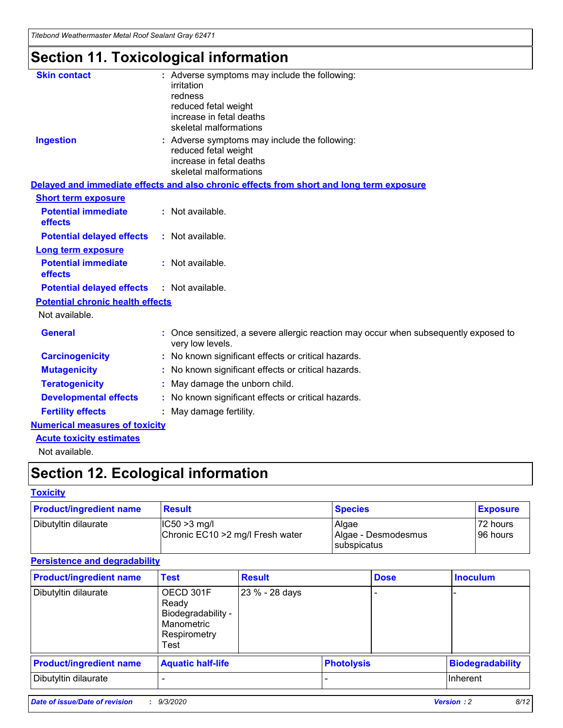*Titebond Weathermaster Metal Roof Sealant Gray 62471*

## **Section 11. Toxicological information**

| <b>Skin contact</b>                     | : Adverse symptoms may include the following:<br>irritation<br>redness<br>reduced fetal weight<br>increase in fetal deaths<br>skeletal malformations |
|-----------------------------------------|------------------------------------------------------------------------------------------------------------------------------------------------------|
| <b>Ingestion</b>                        | : Adverse symptoms may include the following:<br>reduced fetal weight<br>increase in fetal deaths<br>skeletal malformations                          |
|                                         | Delayed and immediate effects and also chronic effects from short and long term exposure                                                             |
| <b>Short term exposure</b>              |                                                                                                                                                      |
| <b>Potential immediate</b><br>effects   | : Not available.                                                                                                                                     |
| <b>Potential delayed effects</b>        | : Not available.                                                                                                                                     |
| <b>Long term exposure</b>               |                                                                                                                                                      |
| <b>Potential immediate</b><br>effects   | : Not available.                                                                                                                                     |
| <b>Potential delayed effects</b>        | : Not available.                                                                                                                                     |
| <b>Potential chronic health effects</b> |                                                                                                                                                      |
| Not available.                          |                                                                                                                                                      |
| <b>General</b>                          | : Once sensitized, a severe allergic reaction may occur when subsequently exposed to<br>very low levels.                                             |
| <b>Carcinogenicity</b>                  | : No known significant effects or critical hazards.                                                                                                  |
| <b>Mutagenicity</b>                     | : No known significant effects or critical hazards.                                                                                                  |
| <b>Teratogenicity</b>                   | May damage the unborn child.                                                                                                                         |
| <b>Developmental effects</b>            | : No known significant effects or critical hazards.                                                                                                  |
| <b>Fertility effects</b>                | : May damage fertility.                                                                                                                              |
| <b>Numerical measures of toxicity</b>   |                                                                                                                                                      |
| <b>Acute toxicity estimates</b>         |                                                                                                                                                      |
| الملحلة والمستحقق فالمرابط              |                                                                                                                                                      |

Not available.

## **Section 12. Ecological information**

## **Toxicity**

| <b>Product/ingredient name</b> | <b>Result</b>                                       | <b>Species</b>               | <b>Exposure</b>       |
|--------------------------------|-----------------------------------------------------|------------------------------|-----------------------|
| Dibutyltin dilaurate           | $ CC50>3$ mg/l<br>Chronic EC10 > 2 mg/l Fresh water | Algae<br>Algae - Desmodesmus | 72 hours<br>196 hours |
|                                |                                                     | <b>I</b> subspicatus         |                       |

## **Persistence and degradability**

| <b>Product/ingredient name</b> | <b>Test</b>                                                                    | <b>Result</b>  |                   | <b>Dose</b> | <b>Inoculum</b>         |
|--------------------------------|--------------------------------------------------------------------------------|----------------|-------------------|-------------|-------------------------|
| Dibutyltin dilaurate           | OECD 301F<br>Ready<br>Biodegradability -<br>Manometric<br>Respirometry<br>Test | 23 % - 28 days |                   |             |                         |
| <b>Product/ingredient name</b> | <b>Aquatic half-life</b>                                                       |                | <b>Photolysis</b> |             | <b>Biodegradability</b> |
| Dibutyltin dilaurate           |                                                                                |                |                   |             | <b>Inherent</b>         |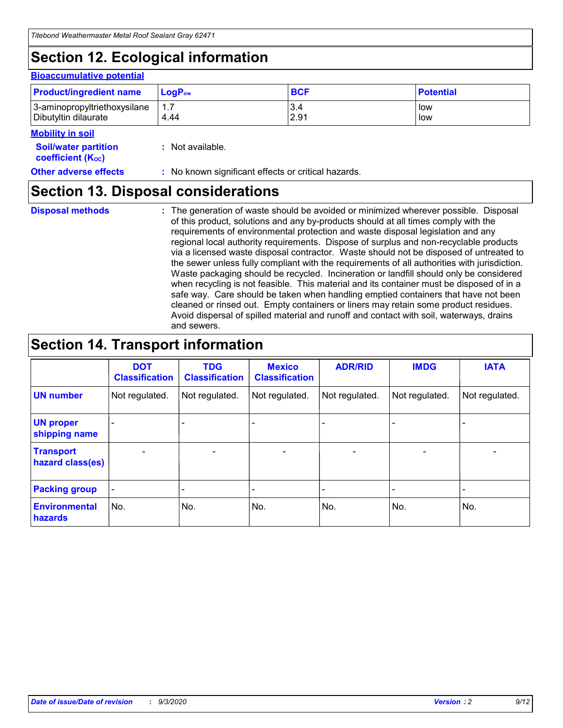## **Section 12. Ecological information**

#### **Bioaccumulative potential**

| <b>Product/ingredient name</b> | $\mathsf{LogP}_\mathsf{ow}$ | <b>BCF</b> | <b>Potential</b> |
|--------------------------------|-----------------------------|------------|------------------|
| 3-aminopropyltriethoxysilane   | 1.7                         | 3.4        | low              |
| Dibutyltin dilaurate           | 4.44                        | 2.91       | low              |

#### **Mobility in soil**

| <b>Soil/water partition</b> | : Not available. |
|-----------------------------|------------------|
| <b>coefficient (Koc)</b>    |                  |

#### **Other adverse effects** : No known significant effects or critical hazards.

## **Section 13. Disposal considerations**

**Disposal methods :**

The generation of waste should be avoided or minimized wherever possible. Disposal of this product, solutions and any by-products should at all times comply with the requirements of environmental protection and waste disposal legislation and any regional local authority requirements. Dispose of surplus and non-recyclable products via a licensed waste disposal contractor. Waste should not be disposed of untreated to the sewer unless fully compliant with the requirements of all authorities with jurisdiction. Waste packaging should be recycled. Incineration or landfill should only be considered when recycling is not feasible. This material and its container must be disposed of in a safe way. Care should be taken when handling emptied containers that have not been cleaned or rinsed out. Empty containers or liners may retain some product residues. Avoid dispersal of spilled material and runoff and contact with soil, waterways, drains and sewers.

## **Section 14. Transport information**

|                                      | <b>DOT</b><br><b>Classification</b> | <b>TDG</b><br><b>Classification</b> | <b>Mexico</b><br><b>Classification</b> | <b>ADR/RID</b>           | <b>IMDG</b>              | <b>IATA</b>    |
|--------------------------------------|-------------------------------------|-------------------------------------|----------------------------------------|--------------------------|--------------------------|----------------|
| <b>UN number</b>                     | Not regulated.                      | Not regulated.                      | Not regulated.                         | Not regulated.           | Not regulated.           | Not regulated. |
| <b>UN proper</b><br>shipping name    |                                     |                                     |                                        |                          |                          |                |
| <b>Transport</b><br>hazard class(es) |                                     | $\overline{\phantom{0}}$            | $\qquad \qquad \blacksquare$           | $\overline{\phantom{0}}$ | $\overline{\phantom{0}}$ |                |
| <b>Packing group</b>                 |                                     |                                     |                                        |                          |                          |                |
| <b>Environmental</b><br>hazards      | No.                                 | No.                                 | No.                                    | No.                      | No.                      | No.            |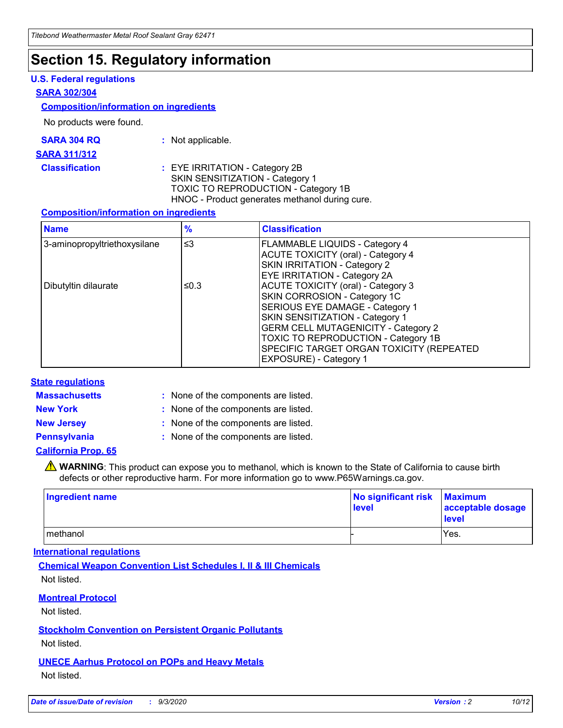## **Section 15. Regulatory information**

## **U.S. Federal regulations**

### **SARA 302/304**

### **Composition/information on ingredients**

No products were found.

| SARA 304 RQ | Not applicable. |
|-------------|-----------------|
|-------------|-----------------|

#### **SARA 311/312**

### **Classification :** EYE IRRITATION - Category 2B SKIN SENSITIZATION - Category 1 TOXIC TO REPRODUCTION - Category 1B HNOC - Product generates methanol during cure.

### **Composition/information on ingredients**

| <b>Name</b>                  | $\frac{9}{6}$ | <b>Classification</b>                                                                                                                                                                                                                                                                                      |
|------------------------------|---------------|------------------------------------------------------------------------------------------------------------------------------------------------------------------------------------------------------------------------------------------------------------------------------------------------------------|
| 3-aminopropyltriethoxysilane | $\leq$ 3      | <b>FLAMMABLE LIQUIDS - Category 4</b><br><b>ACUTE TOXICITY (oral) - Category 4</b><br><b>SKIN IRRITATION - Category 2</b><br>EYE IRRITATION - Category 2A                                                                                                                                                  |
| Dibutyltin dilaurate         | ≤0.3          | <b>ACUTE TOXICITY (oral) - Category 3</b><br>SKIN CORROSION - Category 1C<br>SERIOUS EYE DAMAGE - Category 1<br>SKIN SENSITIZATION - Category 1<br><b>GERM CELL MUTAGENICITY - Category 2</b><br>TOXIC TO REPRODUCTION - Category 1B<br>SPECIFIC TARGET ORGAN TOXICITY (REPEATED<br>EXPOSURE) - Category 1 |

### **State regulations**

**Massachusetts :**

: None of the components are listed.

**New York :** None of the components are listed. **New Jersey :** None of the components are listed.

**Pennsylvania :** None of the components are listed.

## **California Prop. 65**

WARNING: This product can expose you to methanol, which is known to the State of California to cause birth defects or other reproductive harm. For more information go to www.P65Warnings.ca.gov.

| Ingredient name | No significant risk<br>level | <b>Maximum</b><br>acceptable dosage<br><b>level</b> |
|-----------------|------------------------------|-----------------------------------------------------|
| methanol        |                              | Yes.                                                |

### **International regulations**

**Chemical Weapon Convention List Schedules I, II & III Chemicals** Not listed.

## **Montreal Protocol**

Not listed.

**Stockholm Convention on Persistent Organic Pollutants**

Not listed.

## **UNECE Aarhus Protocol on POPs and Heavy Metals** Not listed.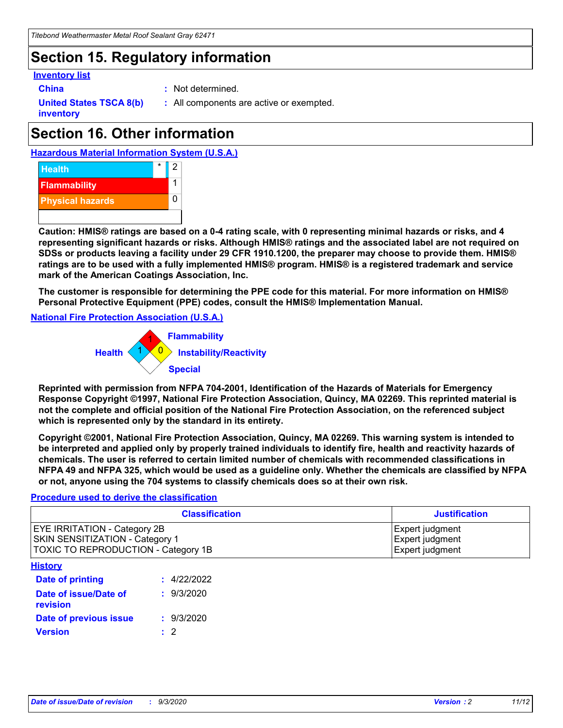## **Section 15. Regulatory information**

### **Inventory list**

- 
- **China :** Not determined.

**United States TSCA 8(b) inventory**

**:** All components are active or exempted.

## **Section 16. Other information**





**Caution: HMIS® ratings are based on a 0-4 rating scale, with 0 representing minimal hazards or risks, and 4 representing significant hazards or risks. Although HMIS® ratings and the associated label are not required on SDSs or products leaving a facility under 29 CFR 1910.1200, the preparer may choose to provide them. HMIS® ratings are to be used with a fully implemented HMIS® program. HMIS® is a registered trademark and service mark of the American Coatings Association, Inc.**

**The customer is responsible for determining the PPE code for this material. For more information on HMIS® Personal Protective Equipment (PPE) codes, consult the HMIS® Implementation Manual.**

**National Fire Protection Association (U.S.A.)**



**Reprinted with permission from NFPA 704-2001, Identification of the Hazards of Materials for Emergency Response Copyright ©1997, National Fire Protection Association, Quincy, MA 02269. This reprinted material is not the complete and official position of the National Fire Protection Association, on the referenced subject which is represented only by the standard in its entirety.**

**Copyright ©2001, National Fire Protection Association, Quincy, MA 02269. This warning system is intended to be interpreted and applied only by properly trained individuals to identify fire, health and reactivity hazards of chemicals. The user is referred to certain limited number of chemicals with recommended classifications in NFPA 49 and NFPA 325, which would be used as a guideline only. Whether the chemicals are classified by NFPA or not, anyone using the 704 systems to classify chemicals does so at their own risk.**

### **Procedure used to derive the classification**

| <b>Classification</b>                                                                                         | <b>Justification</b>                                  |
|---------------------------------------------------------------------------------------------------------------|-------------------------------------------------------|
| <b>EYE IRRITATION - Category 2B</b><br>SKIN SENSITIZATION - Category 1<br>TOXIC TO REPRODUCTION - Category 1B | Expert judgment<br>Expert judgment<br>Expert judgment |
| <b>History</b>                                                                                                |                                                       |

| .                                 |             |
|-----------------------------------|-------------|
| <b>Date of printing</b>           | : 4/22/2022 |
| Date of issue/Date of<br>revision | : 9/3/2020  |
| Date of previous issue            | : 9/3/2020  |
| <b>Version</b>                    | $\cdot$ 2   |
|                                   |             |